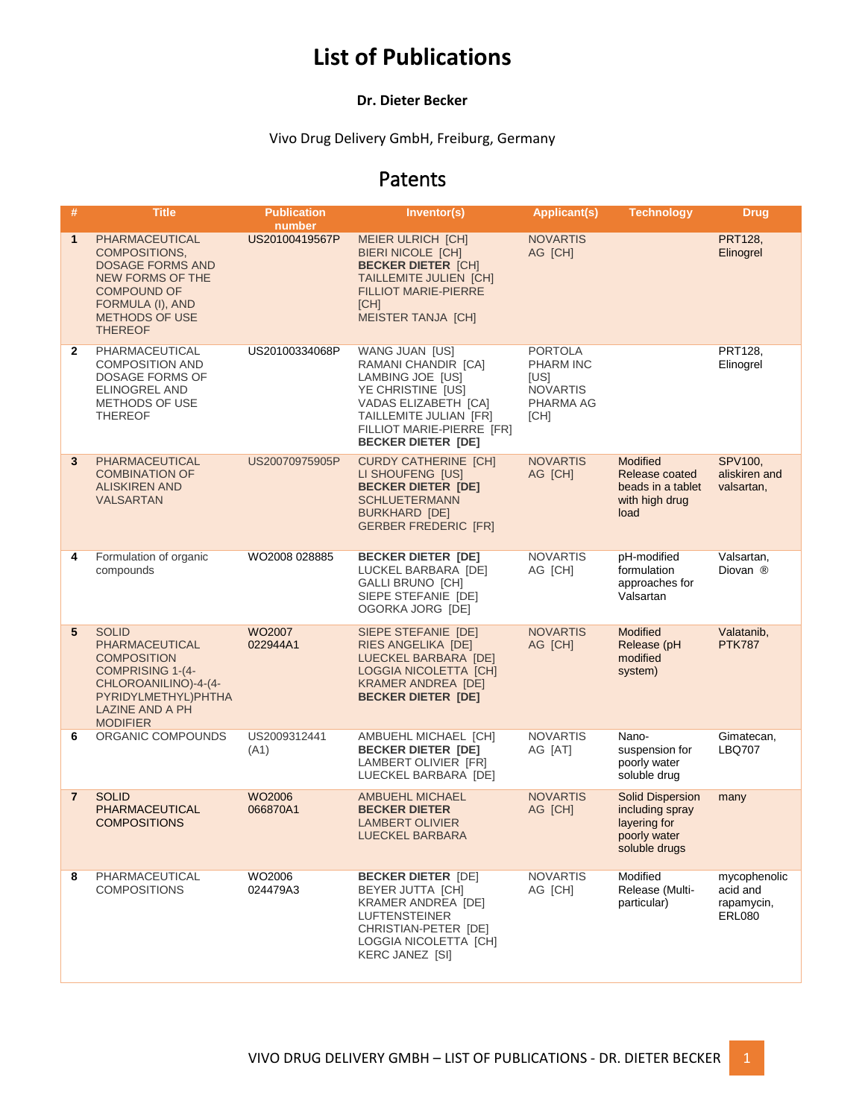# **List of Publications**

#### **Dr. Dieter Becker**

#### Vivo Drug Delivery GmbH, Freiburg, Germany

### Patents

| #              | <b>Title</b>                                                                                                                                                                      | <b>Publication</b><br>number | Inventor(s)                                                                                                                                                                                | <b>Applicant(s)</b>                                                                | Technology                                                                                  | <b>Drug</b>                                             |
|----------------|-----------------------------------------------------------------------------------------------------------------------------------------------------------------------------------|------------------------------|--------------------------------------------------------------------------------------------------------------------------------------------------------------------------------------------|------------------------------------------------------------------------------------|---------------------------------------------------------------------------------------------|---------------------------------------------------------|
| $\mathbf{1}$   | PHARMACEUTICAL<br><b>COMPOSITIONS,</b><br><b>DOSAGE FORMS AND</b><br><b>NEW FORMS OF THE</b><br><b>COMPOUND OF</b><br>FORMULA (I), AND<br><b>METHODS OF USE</b><br><b>THEREOF</b> | US20100419567P               | <b>MEIER ULRICH [CH]</b><br><b>BIERI NICOLE [CH]</b><br><b>BECKER DIETER [CH]</b><br><b>TAILLEMITE JULIEN [CH]</b><br><b>FILLIOT MARIE-PIERRE</b><br>[CH]<br><b>MEISTER TANJA [CH]</b>     | <b>NOVARTIS</b><br>AG [CH]                                                         |                                                                                             | <b>PRT128.</b><br>Elinogrel                             |
| $\mathbf{2}$   | PHARMACEUTICAL<br><b>COMPOSITION AND</b><br>DOSAGE FORMS OF<br>ELINOGREL AND<br><b>METHODS OF USE</b><br><b>THEREOF</b>                                                           | US20100334068P               | WANG JUAN [US]<br>RAMANI CHANDIR [CA]<br>LAMBING JOE [US]<br>YE CHRISTINE [US]<br>VADAS ELIZABETH [CA]<br>TAILLEMITE JULIAN [FR]<br>FILLIOT MARIE-PIERRE [FR]<br><b>BECKER DIETER [DE]</b> | <b>PORTOLA</b><br><b>PHARM INC</b><br>[US]<br><b>NOVARTIS</b><br>PHARMA AG<br>[CH] |                                                                                             | PRT128.<br>Elinogrel                                    |
| 3              | PHARMACEUTICAL<br><b>COMBINATION OF</b><br><b>ALISKIREN AND</b><br><b>VALSARTAN</b>                                                                                               | US20070975905P               | <b>CURDY CATHERINE [CH]</b><br>LI SHOUFENG [US]<br><b>BECKER DIETER [DE]</b><br><b>SCHLUETERMANN</b><br><b>BURKHARD [DE]</b><br><b>GERBER FREDERIC [FR]</b>                                | <b>NOVARTIS</b><br>AG [CH]                                                         | <b>Modified</b><br>Release coated<br>beads in a tablet<br>with high drug<br>load            | SPV100.<br>aliskiren and<br>valsartan,                  |
| 4              | Formulation of organic<br>compounds                                                                                                                                               | WO2008 028885                | <b>BECKER DIETER [DE]</b><br>LUCKEL BARBARA [DE]<br><b>GALLI BRUNO [CH]</b><br>SIEPE STEFANIE [DE]<br>OGORKA JORG [DE]                                                                     | <b>NOVARTIS</b><br>AG [CH]                                                         | pH-modified<br>formulation<br>approaches for<br>Valsartan                                   | Valsartan,<br>Diovan ®                                  |
| 5              | <b>SOLID</b><br>PHARMACEUTICAL<br><b>COMPOSITION</b><br><b>COMPRISING 1-(4-</b><br>CHLOROANILINO)-4-(4-<br>PYRIDYLMETHYL)PHTHA<br><b>LAZINE AND A PH</b><br><b>MODIFIER</b>       | WO2007<br>022944A1           | SIEPE STEFANIE [DE]<br>RIES ANGELIKA [DE]<br>LUECKEL BARBARA [DE]<br>LOGGIA NICOLETTA [CH]<br><b>KRAMER ANDREA [DE]</b><br><b>BECKER DIETER [DE]</b>                                       | <b>NOVARTIS</b><br>AG [CH]                                                         | <b>Modified</b><br>Release (pH<br>modified<br>system)                                       | Valatanib,<br><b>PTK787</b>                             |
| 6              | ORGANIC COMPOUNDS                                                                                                                                                                 | US2009312441<br>(A1)         | AMBUEHL MICHAEL [CH]<br><b>BECKER DIETER [DE]</b><br>LAMBERT OLIVIER [FR]<br>LUECKEL BARBARA [DE]                                                                                          | <b>NOVARTIS</b><br>AG [AT]                                                         | Nano-<br>suspension for<br>poorly water<br>soluble drug                                     | Gimatecan,<br><b>LBQ707</b>                             |
| $\overline{7}$ | <b>SOLID</b><br>PHARMACEUTICAL<br><b>COMPOSITIONS</b>                                                                                                                             | WO2006<br>066870A1           | <b>AMBUEHL MICHAEL</b><br><b>BECKER DIETER</b><br><b>LAMBERT OLIVIER</b><br>LUECKEL BARBARA                                                                                                | <b>NOVARTIS</b><br>AG [CH]                                                         | <b>Solid Dispersion</b><br>including spray<br>layering for<br>poorly water<br>soluble drugs | many                                                    |
| 8              | PHARMACEUTICAL<br><b>COMPOSITIONS</b>                                                                                                                                             | WO2006<br>024479A3           | <b>BECKER DIETER [DE]</b><br>BEYER JUTTA [CH]<br><b>KRAMER ANDREA [DE]</b><br><b>LUFTENSTEINER</b><br>CHRISTIAN-PETER [DE]<br>LOGGIA NICOLETTA [CH]<br>KERC JANEZ [SI]                     | <b>NOVARTIS</b><br>AG [CH]                                                         | Modified<br>Release (Multi-<br>particular)                                                  | mycophenolic<br>acid and<br>rapamycin,<br><b>ERL080</b> |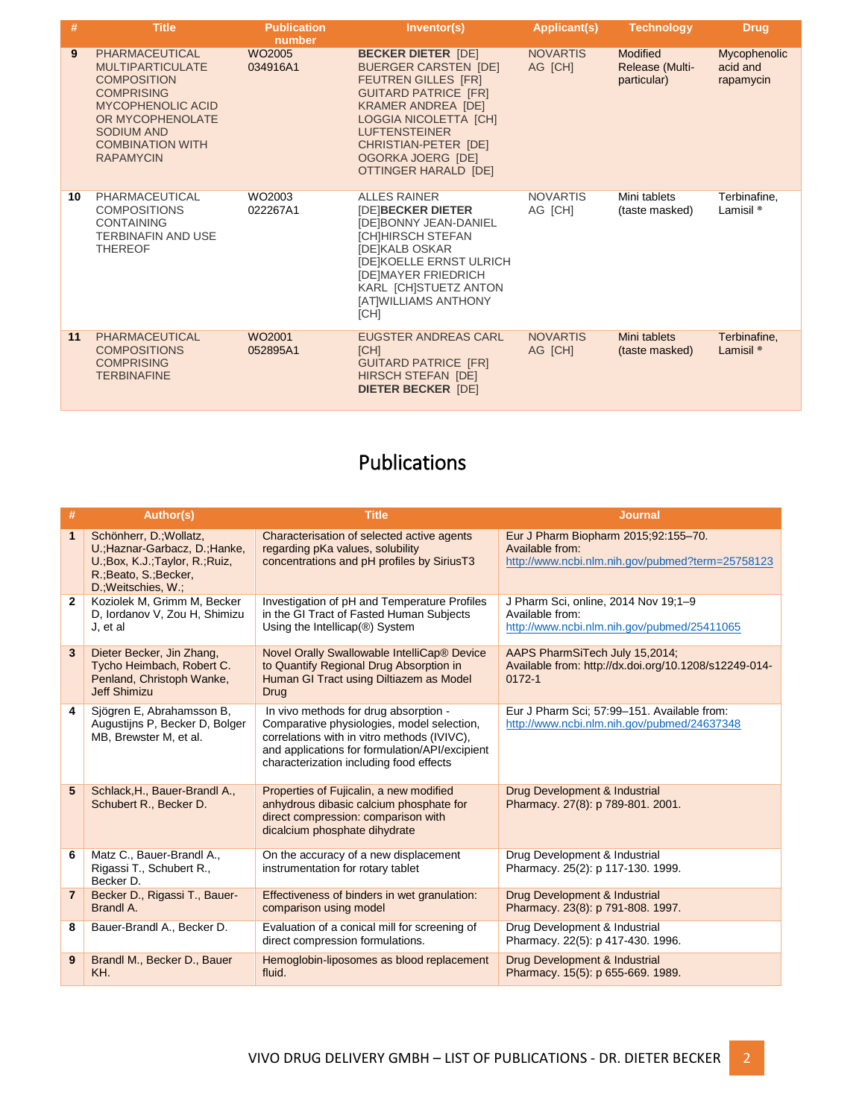| #  | <b>Title</b>                                                                                                                                                                                             | Publication<br>number          | Inventor(s)                                                                                                                                                                                                                                                                            | <b>Applicant(s)</b>        | <b>Technology</b>                          | <b>Drug</b>                                  |
|----|----------------------------------------------------------------------------------------------------------------------------------------------------------------------------------------------------------|--------------------------------|----------------------------------------------------------------------------------------------------------------------------------------------------------------------------------------------------------------------------------------------------------------------------------------|----------------------------|--------------------------------------------|----------------------------------------------|
| 9  | PHARMACEUTICAL<br><b>MULTIPARTICULATE</b><br><b>COMPOSITION</b><br><b>COMPRISING</b><br><b>MYCOPHENOLIC ACID</b><br>OR MYCOPHENOLATE<br><b>SODIUM AND</b><br><b>COMBINATION WITH</b><br><b>RAPAMYCIN</b> | WO <sub>2005</sub><br>034916A1 | <b>BECKER DIETER [DE]</b><br><b>BUERGER CARSTEN [DE]</b><br><b>FEUTREN GILLES [FR]</b><br><b>GUITARD PATRICE [FR]</b><br><b>KRAMER ANDREA [DE]</b><br>LOGGIA NICOLETTA [CH]<br><b>LUFTENSTEINER</b><br>CHRISTIAN-PETER [DE]<br><b>OGORKA JOERG [DE]</b><br><b>OTTINGER HARALD [DE]</b> | <b>NOVARTIS</b><br>AG [CH] | Modified<br>Release (Multi-<br>particular) | <b>Mycophenolic</b><br>acid and<br>rapamycin |
| 10 | PHARMACEUTICAL<br><b>COMPOSITIONS</b><br><b>CONTAINING</b><br><b>TERBINAFIN AND USE</b><br><b>THEREOF</b>                                                                                                | WO2003<br>022267A1             | <b>ALLES RAINER</b><br><b>IDE BECKER DIETER</b><br>[DE]BONNY JEAN-DANIEL<br>[CH]HIRSCH STEFAN<br>[DE]KALB OSKAR<br><b>[DE]KOELLE ERNST ULRICH</b><br><b>IDEIMAYER FRIEDRICH</b><br>KARL [CH]STUETZ ANTON<br>[AT]WILLIAMS ANTHONY<br>[CH]                                               | <b>NOVARTIS</b><br>AG [CH] | Mini tablets<br>(taste masked)             | Terbinafine,<br>Lamisil <sup>®</sup>         |
| 11 | PHARMACEUTICAL<br><b>COMPOSITIONS</b><br><b>COMPRISING</b><br><b>TERBINAFINE</b>                                                                                                                         | WO <sub>2001</sub><br>052895A1 | <b>EUGSTER ANDREAS CARL</b><br>[CH]<br><b>GUITARD PATRICE [FR]</b><br><b>HIRSCH STEFAN [DE]</b><br><b>DIETER BECKER [DE]</b>                                                                                                                                                           | <b>NOVARTIS</b><br>AG [CH] | Mini tablets<br>(taste masked)             | Terbinafine,<br>Lamisil <sup>®</sup>         |

## Publications

| #              | Author(s)                                                                                                                                      | <b>Title</b>                                                                                                                                                                                                                    | <b>Journal</b>                                                                                              |
|----------------|------------------------------------------------------------------------------------------------------------------------------------------------|---------------------------------------------------------------------------------------------------------------------------------------------------------------------------------------------------------------------------------|-------------------------------------------------------------------------------------------------------------|
| 1              | Schönherr, D.; Wollatz,<br>U.; Haznar-Garbacz, D.; Hanke,<br>U.; Box, K.J.; Taylor, R.; Ruiz,<br>R.; Beato, S.; Becker,<br>D.; Weitschies, W.; | Characterisation of selected active agents<br>regarding pKa values, solubility<br>concentrations and pH profiles by SiriusT3                                                                                                    | Eur J Pharm Biopharm 2015;92:155-70.<br>Available from:<br>http://www.ncbi.nlm.nih.gov/pubmed?term=25758123 |
| $\overline{2}$ | Koziolek M, Grimm M, Becker<br>D, Iordanov V, Zou H, Shimizu<br>J, et al                                                                       | Investigation of pH and Temperature Profiles<br>in the GI Tract of Fasted Human Subjects<br>Using the Intellicap(®) System                                                                                                      | J Pharm Sci, online, 2014 Nov 19;1-9<br>Available from:<br>http://www.ncbi.nlm.nih.gov/pubmed/25411065      |
| 3              | Dieter Becker, Jin Zhang,<br>Tycho Heimbach, Robert C.<br>Penland, Christoph Wanke,<br><b>Jeff Shimizu</b>                                     | Novel Orally Swallowable IntelliCap® Device<br>to Quantify Regional Drug Absorption in<br>Human GI Tract using Diltiazem as Model<br><b>Drug</b>                                                                                | AAPS PharmSiTech July 15,2014;<br>Available from: http://dx.doi.org/10.1208/s12249-014-<br>$0172 - 1$       |
| 4              | Sjögren E, Abrahamsson B,<br>Augustijns P, Becker D, Bolger<br>MB, Brewster M, et al.                                                          | In vivo methods for drug absorption -<br>Comparative physiologies, model selection,<br>correlations with in vitro methods (IVIVC),<br>and applications for formulation/API/excipient<br>characterization including food effects | Eur J Pharm Sci; 57:99-151. Available from:<br>http://www.ncbi.nlm.nih.gov/pubmed/24637348                  |
| 5              | Schlack, H., Bauer-Brandl A.,<br>Schubert R., Becker D.                                                                                        | Properties of Fujicalin, a new modified<br>anhydrous dibasic calcium phosphate for<br>direct compression: comparison with<br>dicalcium phosphate dihydrate                                                                      | Drug Development & Industrial<br>Pharmacy. 27(8): p 789-801. 2001.                                          |
| 6              | Matz C., Bauer-Brandl A.,<br>Rigassi T., Schubert R.,<br>Becker D.                                                                             | On the accuracy of a new displacement<br>instrumentation for rotary tablet                                                                                                                                                      | Drug Development & Industrial<br>Pharmacy. 25(2): p 117-130. 1999.                                          |
| $\overline{7}$ | Becker D., Rigassi T., Bauer-<br>Brandl A.                                                                                                     | Effectiveness of binders in wet granulation:<br>comparison using model                                                                                                                                                          | Drug Development & Industrial<br>Pharmacy. 23(8): p 791-808. 1997.                                          |
| 8              | Bauer-Brandl A., Becker D.                                                                                                                     | Evaluation of a conical mill for screening of<br>direct compression formulations.                                                                                                                                               | Drug Development & Industrial<br>Pharmacy. 22(5): p 417-430. 1996.                                          |
| 9              | Brandl M., Becker D., Bauer<br>KH.                                                                                                             | Hemoglobin-liposomes as blood replacement<br>fluid.                                                                                                                                                                             | Drug Development & Industrial<br>Pharmacy. 15(5): p 655-669. 1989.                                          |